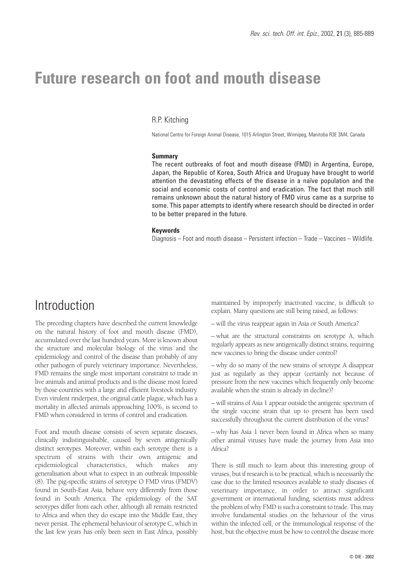# **Future research on foot and mouth disease**

### R.P. Kitching

National Centre for Foreign Animal Disease, 1015 Arlington Street, Winnipeg, Manitoba R3E 3M4, Canada

### **Summary**

The recent outbreaks of foot and mouth disease (FMD) in Argentina, Europe, Japan, the Republic of Korea, South Africa and Uruguay have brought to world attention the devastating effects of the disease in a naïve population and the social and economic costs of control and eradication. The fact that much still remains unknown about the natural history of FMD virus came as a surprise to some. This paper attempts to identify where research should be directed in order to be better prepared in the future.

### **Keywords**

Diagnosis – Foot and mouth disease – Persistent infection – Trade – Vaccines – Wildlife.

## Introduction

The preceding chapters have described the current knowledge on the natural history of foot and mouth disease (FMD), accumulated over the last hundred years. More is known about the structure and molecular biology of the virus and the epidemiology and control of the disease than probably of any other pathogen of purely veterinary importance. Nevertheless, FMD remains the single most important constraint to trade in live animals and animal products and is the disease most feared by those countries with a large and efficient livestock industry. Even virulent rinderpest, the original cattle plague, which has a mortality in affected animals approaching 100%, is second to FMD when considered in terms of control and eradication.

Foot and mouth disease consists of seven separate diseases, clinically indistinguishable, caused by seven antigenically distinct serotypes. Moreover, within each serotype there is a spectrum of strains with their own antigenic and epidemiological characteristics, which makes any generalisation about what to expect in an outbreak impossible (8). The pig-specific strains of serotype O FMD virus (FMDV) found in South-East Asia, behave very differently from those found in South America. The epidemiology of the SAT serotypes differ from each other, although all remain restricted to Africa and when they do escape into the Middle East, they never persist. The ephemeral behaviour of serotype C, which in the last few years has only been seen in East Africa, possibly

maintained by improperly inactivated vaccine, is difficult to explain. Many questions are still being raised, as follows:

– will the virus reappear again in Asia or South America?

– what are the structural constraints on serotype A, which regularly appears as new antigenically distinct strains, requiring new vaccines to bring the disease under control?

– why do so many of the new strains of serotype A disappear just as regularly as they appear (certainly not because of pressure from the new vaccines which frequently only become available when the strain is already in decline)?

– will strains of Asia 1 appear outside the antigenic spectrum of the single vaccine strain that up to present has been used successfully throughout the current distribution of the virus?

– why has Asia 1 never been found in Africa when so many other animal viruses have made the journey from Asia into Africa?

There is still much to learn about this interesting group of viruses, but if research is to be practical, which is necessarily the case due to the limited resources available to study diseases of veterinary importance, in order to attract significant government or international funding, scientists must address the problem of why FMD is such a constraint to trade. This may involve fundamental studies on the behaviour of the virus within the infected cell, or the immunological response of the host, but the objective must be how to control the disease more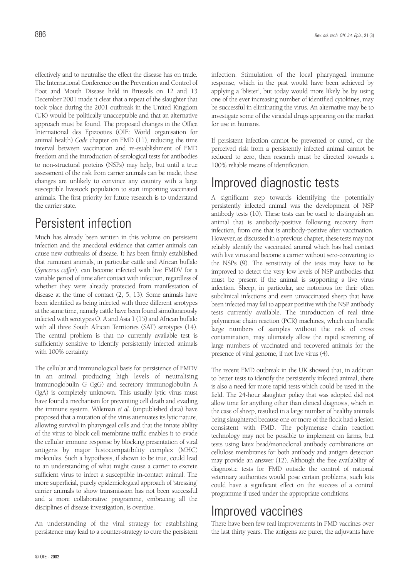effectively and to neutralise the effect the disease has on trade. The International Conference on the Prevention and Control of Foot and Mouth Disease held in Brussels on 12 and 13 December 2001 made it clear that a repeat of the slaughter that took place during the 2001 outbreak in the United Kingdom (UK) would be politically unacceptable and that an alternative approach must be found. The proposed changes in the Office International des Epizooties (OIE: World organisation for animal health) *Code* chapter on FMD (11), reducing the time interval between vaccination and re-establishment of FMD freedom and the introduction of serological tests for antibodies to non-structural proteins (NSPs) may help, but until a true assessment of the risk from carrier animals can be made, these changes are unlikely to convince any country with a large susceptible livestock population to start importing vaccinated animals. The first priority for future research is to understand the carrier state.

## Persistent infection

Much has already been written in this volume on persistent infection and the anecdotal evidence that carrier animals can cause new outbreaks of disease. It has been firmly established that ruminant animals, in particular cattle and African buffalo (*Syncerus caffer*), can become infected with live FMDV for a variable period of time after contact with infection, regardless of whether they were already protected from manifestation of disease at the time of contact (2, 5, 13). Some animals have been identified as being infected with three different serotypes at the same time, namely cattle have been found simultaneously infected with serotypes O, A and Asia 1 (15) and African buffalo with all three South African Territories (SAT) serotypes (14). The central problem is that no currently available test is sufficiently sensitive to identify persistently infected animals with 100% certainty.

The cellular and immunological basis for persistence of FMDV in an animal producing high levels of neutralising immunoglobulin G (IgG) and secretory immunoglobulin A (IgA) is completely unknown. This usually lytic virus must have found a mechanism for preventing cell death and evading the immune system. Wileman *et al.* (unpublished data) have proposed that a mutation of the virus attenuates its lytic nature, allowing survival in pharyngeal cells and that the innate ability of the virus to block cell membrane traffic enables it to evade the cellular immune response by blocking presentation of viral antigens by major histocompatibility complex (MHC) molecules. Such a hypothesis, if shown to be true, could lead to an understanding of what might cause a carrier to excrete sufficient virus to infect a susceptible in-contact animal. The more superficial, purely epidemiological approach of 'stressing' carrier animals to show transmission has not been successful and a more collaborative programme, embracing all the disciplines of disease investigation, is overdue.

An understanding of the viral strategy for establishing persistence may lead to a counter-strategy to cure the persistent

infection. Stimulation of the local pharyngeal immune response, which in the past would have been achieved by applying a 'blister', but today would more likely be by using one of the ever increasing number of identified cytokines, may be successful in eliminating the virus. An alternative may be to investigate some of the viricidal drugs appearing on the market for use in humans.

If persistent infection cannot be prevented or cured, or the perceived risk from a persistently infected animal cannot be reduced to zero, then research must be directed towards a 100% reliable means of identification.

## Improved diagnostic tests

A significant step towards identifying the potentially persistently infected animal was the development of NSP antibody tests (10). These tests can be used to distinguish an animal that is antibody-positive following recovery from infection, from one that is antibody-positive after vaccination. However, as discussed in a previous chapter, these tests may not reliably identify the vaccinated animal which has had contact with live virus and become a carrier without sero-converting to the NSPs (9). The sensitivity of the tests may have to be improved to detect the very low levels of NSP antibodies that must be present if the animal is supporting a live virus infection. Sheep, in particular, are notorious for their often subclinical infections and even unvaccinated sheep that have been infected may fail to appear positive with the NSP antibody tests currently available. The introduction of real time polymerase chain reaction (PCR) machines, which can handle large numbers of samples without the risk of cross contamination, may ultimately allow the rapid screening of large numbers of vaccinated and recovered animals for the presence of viral genome, if not live virus (4).

The recent FMD outbreak in the UK showed that, in addition to better tests to identify the persistently infected animal, there is also a need for more rapid tests which could be used in the field. The 24-hour slaughter policy that was adopted did not allow time for anything other than clinical diagnosis, which in the case of sheep, resulted in a large number of healthy animals being slaughtered because one or more of the flock had a lesion consistent with FMD. The polymerase chain reaction technology may not be possible to implement on farms, but tests using latex bead/monoclonal antibody combinations on cellulose membranes for both antibody and antigen detection may provide an answer (12). Although the free availability of diagnostic tests for FMD outside the control of national veterinary authorities would pose certain problems, such kits could have a significant effect on the success of a control programme if used under the appropriate conditions.

## Improved vaccines

There have been few real improvements in FMD vaccines over the last thirty years. The antigens are purer, the adjuvants have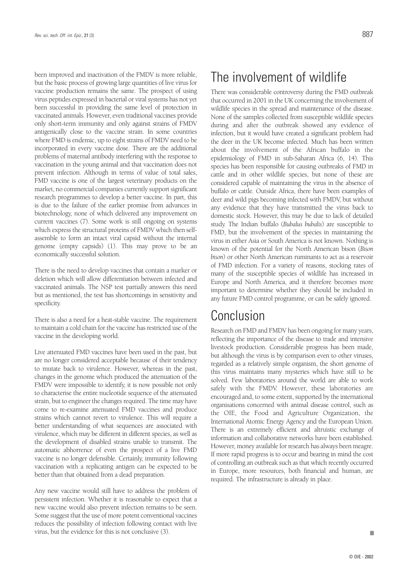been improved and inactivation of the FMDV is more reliable, but the basic process of growing large quantities of live virus for vaccine production remains the same. The prospect of using virus peptides expressed in bacterial or viral systems has not yet been successful in providing the same level of protection in vaccinated animals. However, even traditional vaccines provide only short-term immunity and only against strains of FMDV antigenically close to the vaccine strain. In some countries where FMD is endemic, up to eight strains of FMDV need to be incorporated in every vaccine dose. There are the additional problems of maternal antibody interfering with the response to vaccination in the young animal and that vaccination does not prevent infection. Although in terms of value of total sales, FMD vaccine is one of the largest veterinary products on the market, no commercial companies currently support significant research programmes to develop a better vaccine. In part, this is due to the failure of the earlier promise from advances in biotechnology, none of which delivered any improvement on current vaccines (7). Some work is still ongoing on systems which express the structural proteins of FMDV which then selfassemble to form an intact viral capsid without the internal genome (empty capsids) (1). This may prove to be an economically successful solution.

There is the need to develop vaccines that contain a marker or deletion which will allow differentiation between infected and vaccinated animals. The NSP test partially answers this need but as mentioned, the test has shortcomings in sensitivity and specificity.

There is also a need for a heat-stable vaccine. The requirement to maintain a cold chain for the vaccine has restricted use of the vaccine in the developing world.

Live attenuated FMD vaccines have been used in the past, but are no longer considered acceptable because of their tendency to mutate back to virulence. However, whereas in the past, changes in the genome which produced the attenuation of the FMDV were impossible to identify, it is now possible not only to characterise the entire nucleotide sequence of the attenuated strain, but to engineer the changes required. The time may have come to re-examine attenuated FMD vaccines and produce strains which cannot revert to virulence. This will require a better understanding of what sequences are associated with virulence, which may be different in different species, as well as the development of disabled strains unable to transmit. The automatic abhorrence of even the prospect of a live FMD vaccine is no longer defensible. Certainly, immunity following vaccination with a replicating antigen can be expected to be better than that obtained from a dead preparation.

Any new vaccine would still have to address the problem of persistent infection. Whether it is reasonable to expect that a new vaccine would also prevent infection remains to be seen. Some suggest that the use of more potent conventional vaccines reduces the possibility of infection following contact with live virus, but the evidence for this is not conclusive (3).

## The involvement of wildlife

There was considerable controversy during the FMD outbreak that occurred in 2001 in the UK concerning the involvement of wildlife species in the spread and maintenance of the disease. None of the samples collected from susceptible wildlife species during and after the outbreak showed any evidence of infection, but it would have created a significant problem had the deer in the UK become infected. Much has been written about the involvement of the African buffalo in the epidemiology of FMD in sub-Saharan Africa (6, 14). This species has been responsible for causing outbreaks of FMD in cattle and in other wildlife species, but none of these are considered capable of maintaining the virus in the absence of buffalo or cattle. Outside Africa, there have been examples of deer and wild pigs becoming infected with FMDV, but without any evidence that they have transmitted the virus back to domestic stock. However, this may be due to lack of detailed study. The Indian buffalo (*Bubalus bubalis*) are susceptible to FMD, but the involvement of the species in maintaining the virus in either Asia or South America is not known. Nothing is known of the potential for the North American bison (*Bison bison*) or other North American ruminants to act as a reservoir of FMD infection. For a variety of reasons, stocking rates of many of the susceptible species of wildlife has increased in Europe and North America, and it therefore becomes more important to determine whether they should be included in any future FMD control programme, or can be safely ignored.

## Conclusion

Research on FMD and FMDV has been ongoing for many years, reflecting the importance of the disease to trade and intensive livestock production. Considerable progress has been made, but although the virus is by comparison even to other viruses, regarded as a relatively simple organism, the short genome of this virus maintains many mysteries which have still to be solved. Few laboratories around the world are able to work safely with the FMDV. However, these laboratories are encouraged and, to some extent, supported by the international organisations concerned with animal disease control, such as the OIE, the Food and Agriculture Organization, the International Atomic Energy Agency and the European Union. There is an extremely efficient and altruistic exchange of information and collaborative networks have been established. However, money available for research has always been meagre. If more rapid progress is to occur and bearing in mind the cost of controlling an outbreak such as that which recently occurred in Europe, more resources, both financial and human, are required. The infrastructure is already in place.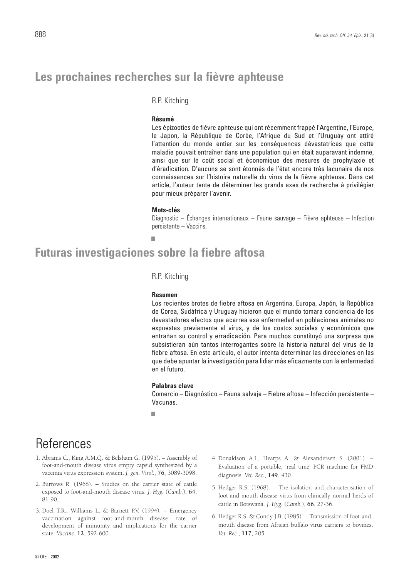### **Les prochaines recherches sur la fièvre aphteuse**

### R.P. Kitching

### **Résumé**

Les épizooties de fièvre aphteuse qui ont récemment frappé l'Argentine, l'Europe, le Japon, la République de Corée, l'Afrique du Sud et l'Uruguay ont attiré l'attention du monde entier sur les conséquences dévastatrices que cette maladie pouvait entraîner dans une population qui en était auparavant indemne, ainsi que sur le coût social et économique des mesures de prophylaxie et d'éradication. D'aucuns se sont étonnés de l'état encore très lacunaire de nos connaissances sur l'histoire naturelle du virus de la fièvre aphteuse. Dans cet article, l'auteur tente de déterminer les grands axes de recherche à privilégier pour mieux préparer l'avenir.

### **Mots-clés**

Diagnostic – Échanges internationaux – Faune sauvage – Fièvre aphteuse – Infection persistante – Vaccins.

### **Futuras investigaciones sobre la fiebre aftosa**

■

### R.P. Kitching

#### **Resumen**

Los recientes brotes de fiebre aftosa en Argentina, Europa, Japón, la República de Corea, Sudáfrica y Uruguay hicieron que el mundo tomara conciencia de los devastadores efectos que acarrea esa enfermedad en poblaciones animales no expuestas previamente al virus, y de los costos sociales y económicos que entrañan su control y erradicación. Para muchos constituyó una sorpresa que subsistieran aún tantos interrogantes sobre la historia natural del virus de la fiebre aftosa. En este artículo, el autor intenta determinar las direcciones en las que debe apuntar la investigación para lidiar más eficazmente con la enfermedad en el futuro.

#### **Palabras clave**

Comercio – Diagnóstico – Fauna salvaje – Fiebre aftosa – Infección persistente – Vacunas.

■

## **References**

- 1. Abrams C., King A.M.Q. & Belsham G. (1995). Assembly of foot-and-mouth disease virus empty capsid synthesized by a vaccinia virus expression system. *J. gen. Virol.*, **76**, 3089-3098.
- 2. Burrows R. (1968). Studies on the carrier state of cattle exposed to foot-and-mouth disease virus. *J. Hyg.* (*Camb.*), **64**, 81-90.
- 3. Doel T.R., Williams L. & Barnett P.V. (1994). Emergency vaccination against foot-and-mouth disease: rate of development of immunity and implications for the carrier state. *Vaccine*, **12**, 592-600.
- 4. Donaldson A.I., Hearps A. & Alexandersen S. (2001). Evaluation of a portable, 'real time' PCR machine for FMD diagnosis. *Vet. Rec.*, **149**, 430.
- 5. Hedger R.S. (1968). The isolation and characterisation of foot-and-mouth disease virus from clinically normal herds of cattle in Botswana. *J. Hyg.* (*Camb.*), **66**, 27-36.
- 6. Hedger R.S. & Condy J.B. (1985). Transmission of foot-andmouth disease from African buffalo virus carriers to bovines. *Vet. Rec.*, **117**, 205.